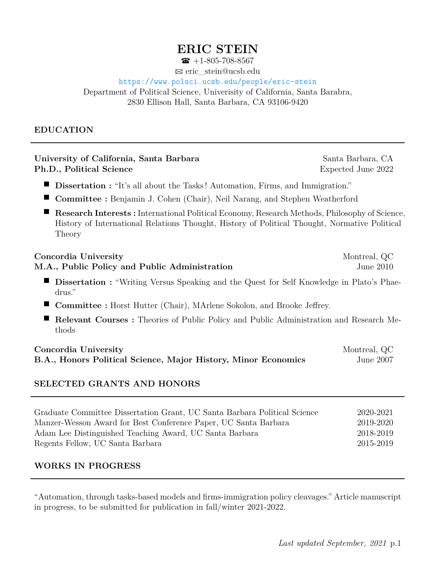# **ERIC STEIN**

 $\bullet$  +1-805-708-8567

B eric\_stein@ucsb.edu

### <https://www.polsci.ucsb.edu/people/eric-stein>

Department of Political Science, Univerisity of California, Santa Barabra, 2830 Ellison Hall, Santa Barbara, CA 93106-9420

### **EDUCATION**

#### **University of California, Santa Barbara** Santa Barbara, CA **Ph.D., Political Science** Expected June 2022

- **Dissertation :** "It's all about the Tasks! Automation, Firms, and Immigration."
- **Committee :** Benjamin J. Cohen (Chair), Neil Narang, and Stephen Weatherford
- **Research Interests :** International Political Economy, Research Methods, Philosophy of Science, History of International Relations Thought, History of Political Thought, Normative Political Theory

# **Concordia University** Montreal, QC **M.A., Public Policy and Public Administration** June 2010 **Dissertation :** "Writing Versus Speaking and the Quest for Self Knowledge in Plato's Phaedrus."

- **Committee :** Horst Hutter (Chair), MArlene Sokolon, and Brooke Jeffrey.
- **Relevant Courses :** Theories of Public Policy and Public Administration and Research Methods

| Concordia University                                           | Montreal, QC |
|----------------------------------------------------------------|--------------|
| B.A., Honors Political Science, Major History, Minor Economics | June 2007    |

### **SELECTED GRANTS AND HONORS**

| Graduate Committee Dissertation Grant, UC Santa Barbara Political Science | 2020-2021 |
|---------------------------------------------------------------------------|-----------|
| Manzer-Wesson Award for Best Conference Paper, UC Santa Barbara           | 2019-2020 |
| Adam Lee Distinguished Teaching Award, UC Santa Barbara                   | 2018-2019 |
| Regents Fellow, UC Santa Barbara                                          | 2015-2019 |

### **WORKS IN PROGRESS**

"Automation, through tasks-based models and firms-immigration policy cleavages." Article manuscript in progress, to be submitted for publication in fall/winter 2021-2022.

*Last updated September, 2021* p.1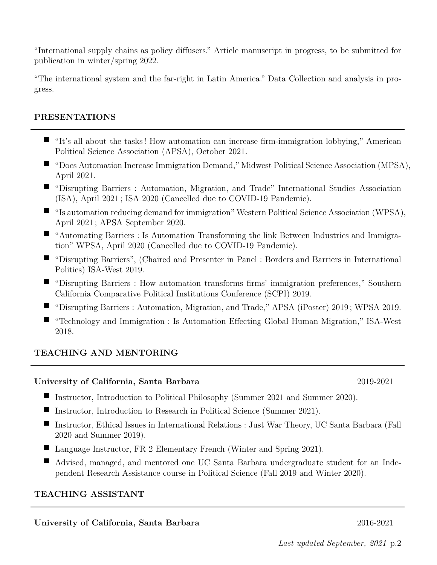"International supply chains as policy diffusers." Article manuscript in progress, to be submitted for publication in winter/spring 2022.

"The international system and the far-right in Latin America." Data Collection and analysis in progress.

### **PRESENTATIONS**

- p "It's all about the tasks ! How automation can increase firm-immigration lobbying," American Political Science Association (APSA), October 2021.
- "Does Automation Increase Immigration Demand," Midwest Political Science Association (MPSA), April 2021.
- p "Disrupting Barriers : Automation, Migration, and Trade" International Studies Association (ISA), April 2021 ; ISA 2020 (Cancelled due to COVID-19 Pandemic).
- "Is automation reducing demand for immigration" Western Political Science Association (WPSA), April 2021 ; APSA September 2020.
- p "Automating Barriers : Is Automation Transforming the link Between Industries and Immigration" WPSA, April 2020 (Cancelled due to COVID-19 Pandemic).
- p "Disrupting Barriers", (Chaired and Presenter in Panel : Borders and Barriers in International Politics) ISA-West 2019.
- p "Disrupting Barriers : How automation transforms firms' immigration preferences," Southern California Comparative Political Institutions Conference (SCPI) 2019.
- p "Disrupting Barriers : Automation, Migration, and Trade," APSA (iPoster) 2019 ; WPSA 2019.
- "Technology and Immigration : Is Automation Effecting Global Human Migration," ISA-West 2018.

## **TEACHING AND MENTORING**

### **University of California, Santa Barbara** 2019-2021

- Instructor, Introduction to Political Philosophy (Summer 2021 and Summer 2020).
- **P** Instructor, Introduction to Research in Political Science (Summer 2021).
- Instructor, Ethical Issues in International Relations : Just War Theory, UC Santa Barbara (Fall 2020 and Summer 2019).
- **Language Instructor, FR 2 Elementary French (Winter and Spring 2021).**
- $\blacksquare$  Advised, managed, and mentored one UC Santa Barbara undergraduate student for an Independent Research Assistance course in Political Science (Fall 2019 and Winter 2020).

### **TEACHING ASSISTANT**

### **University of California, Santa Barbara** 2016-2021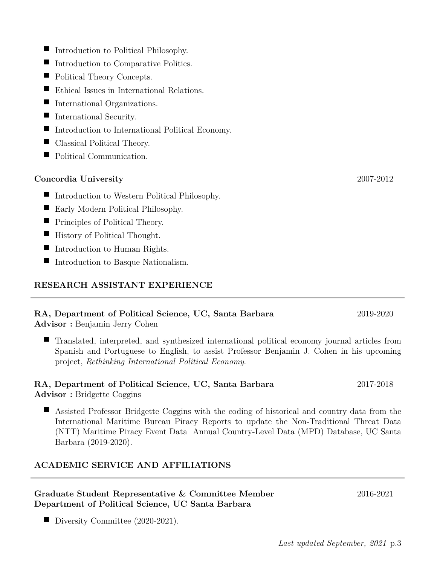Diversity Committee  $(2020-2021)$ .

- $\blacksquare$  Introduction to Political Philosophy.
- **P** Introduction to Comparative Politics.
- $\blacksquare$  <br> Political Theory Concepts.
- $\blacksquare$  <br> Ethical Issues in International Relations.
- $\blacksquare$  International Organizations.
- $\blacksquare$  International Security.
- $\blacksquare$  Introduction to International Political Economy.
- $\blacksquare$  Classical Political Theory.
- $\blacksquare$ Political Communication.

# **Concordia University** 2007-2012

- $\blacksquare$  Introduction to Western Political Philosophy.
- $\blacksquare$  Early Modern Political Philosophy.
- $\blacksquare$  Principles of Political Theory.
- $\blacksquare$  History of Political Thought.
- **p** Introduction to Human Rights.
- $\blacksquare$ Introduction to Basque Nationalism.

# **RESEARCH ASSISTANT EXPERIENCE**

# **RA, Department of Political Science, UC, Santa Barbara** 2019-2020

**Advisor :** Benjamin Jerry Cohen

p Translated, interpreted, and synthesized international political economy journal articles from Spanish and Portuguese to English, to assist Professor Benjamin J. Cohen in his upcoming project, *Rethinking International Political Economy*.

# **RA, Department of Political Science, UC, Santa Barbara** 2017-2018

**Advisor :** Bridgette Coggins

 $\blacksquare$  Assisted Professor Bridgette Coggins with the coding of historical and country data from the International Maritime Bureau Piracy Reports to update the Non-Traditional Threat Data (NTT) Maritime Piracy Event Data Annual Country-Level Data (MPD) Database, UC Santa Barbara (2019-2020).

# **ACADEMIC SERVICE AND AFFILIATIONS**

## **Graduate Student Representative & Committee Member** 2016-2021 **Department of Political Science, UC Santa Barbara**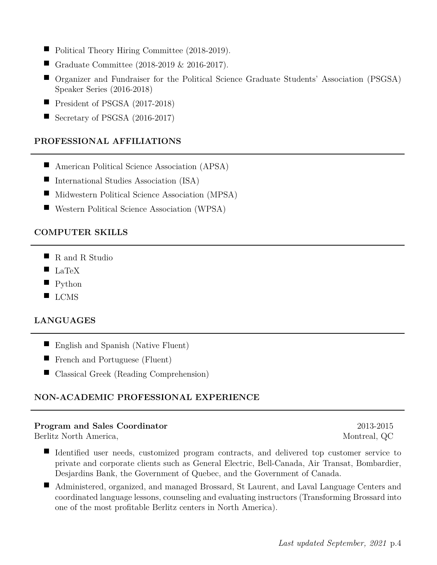- $\blacksquare$ Political Theory Hiring Committee (2018-2019).
- $\blacksquare$ Graduate Committee (2018-2019 & 2016-2017).
- **P** Organizer and Fundraiser for the Political Science Graduate Students' Association (PSGSA) Speaker Series (2016-2018)
- pPresident of PSGSA (2017-2018)
- $\blacksquare$ Secretary of PSGSA (2016-2017)

## **PROFESSIONAL AFFILIATIONS**

- $\blacksquare$  American Political Science Association (APSA)
- **P** International Studies Association (ISA)
- $\blacksquare$  Midwestern Political Science Association (MPSA)
- $\blacksquare$ Western Political Science Association (WPSA)

## **COMPUTER SKILLS**

- R and R Studio
- $\blacksquare$  LaTeX
- $\blacksquare$  Python
- $\blacksquare$  LCMS

## **LANGUAGES**

- **English and Spanish (Native Fluent)**
- French and Portuguese (Fluent)
- $\blacksquare$ Classical Greek (Reading Comprehension)

## **NON-ACADEMIC PROFESSIONAL EXPERIENCE**

### **Program and Sales Coordinator** 2013-2015

Berlitz North America, and the settlement of the settlement of the Montreal, QC and Montreal, QC

- p Identified user needs, customized program contracts, and delivered top customer service to private and corporate clients such as General Electric, Bell-Canada, Air Transat, Bombardier, Desjardins Bank, the Government of Quebec, and the Government of Canada.
- Administered, organized, and managed Brossard, St Laurent, and Laval Language Centers and coordinated language lessons, counseling and evaluating instructors (Transforming Brossard into one of the most profitable Berlitz centers in North America).